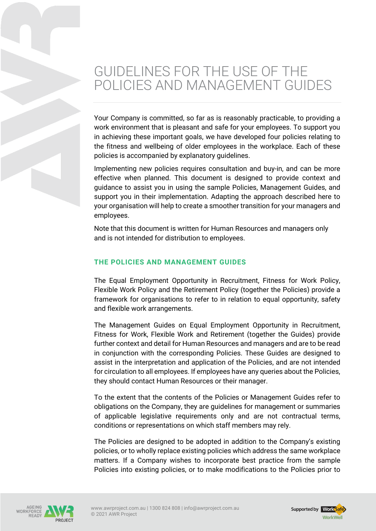# GUIDELINES FOR THE USE OF THE POLICIES AND MANAGEMENT GUIDES

Your Company is committed, so far as is reasonably practicable, to providing a work environment that is pleasant and safe for your employees. To support you in achieving these important goals, we have developed four policies relating to the fitness and wellbeing of older employees in the workplace. Each of these policies is accompanied by explanatory guidelines.

Implementing new policies requires consultation and buy-in, and can be more effective when planned. This document is designed to provide context and guidance to assist you in using the sample Policies, Management Guides, and support you in their implementation. Adapting the approach described here to your organisation will help to create a smoother transition for your managers and employees.

Note that this document is written for Human Resources and managers only and is not intended for distribution to employees.

## **THE POLICIES AND MANAGEMENT GUIDES**

The Equal Employment Opportunity in Recruitment, Fitness for Work Policy, Flexible Work Policy and the Retirement Policy (together the Policies) provide a framework for organisations to refer to in relation to equal opportunity, safety and flexible work arrangements.

The Management Guides on Equal Employment Opportunity in Recruitment, Fitness for Work, Flexible Work and Retirement (together the Guides) provide further context and detail for Human Resources and managers and are to be read in conjunction with the corresponding Policies. These Guides are designed to assist in the interpretation and application of the Policies, and are not intended for circulation to all employees. If employees have any queries about the Policies, they should contact Human Resources or their manager.

To the extent that the contents of the Policies or Management Guides refer to obligations on the Company, they are guidelines for management or summaries of applicable legislative requirements only and are not contractual terms, conditions or representations on which staff members may rely.

The Policies are designed to be adopted in addition to the Company's existing policies, or to wholly replace existing policies which address the same workplace matters. If a Company wishes to incorporate best practice from the sample Policies into existing policies, or to make modifications to the Policies prior to



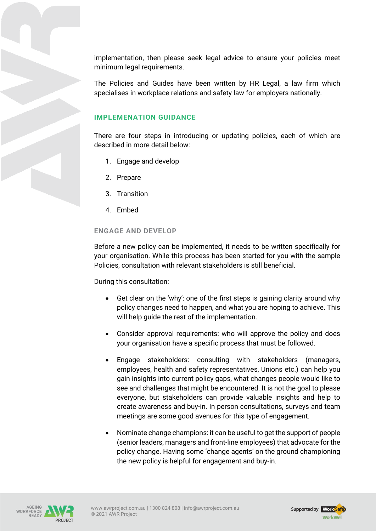implementation, then please seek legal advice to ensure your policies meet minimum legal requirements.

The Policies and Guides have been written by HR Legal, a law firm which specialises in workplace relations and safety law for employers nationally.

# **IMPLEMENATION GUIDANCE**

There are four steps in introducing or updating policies, each of which are described in more detail below:

- 1. Engage and develop
- 2. Prepare
- 3. Transition
- 4. Embed

### **ENGAGE AND DEVELOP**

Before a new policy can be implemented, it needs to be written specifically for your organisation. While this process has been started for you with the sample Policies, consultation with relevant stakeholders is still beneficial.

During this consultation:

- Get clear on the 'why': one of the first steps is gaining clarity around why policy changes need to happen, and what you are hoping to achieve. This will help guide the rest of the implementation.
- Consider approval requirements: who will approve the policy and does your organisation have a specific process that must be followed.
- Engage stakeholders: consulting with stakeholders (managers, employees, health and safety representatives, Unions etc.) can help you gain insights into current policy gaps, what changes people would like to see and challenges that might be encountered. It is not the goal to please everyone, but stakeholders can provide valuable insights and help to create awareness and buy-in. In person consultations, surveys and team meetings are some good avenues for this type of engagement.
- Nominate change champions: it can be useful to get the support of people (senior leaders, managers and front-line employees) that advocate for the policy change. Having some 'change agents' on the ground championing the new policy is helpful for engagement and buy-in.



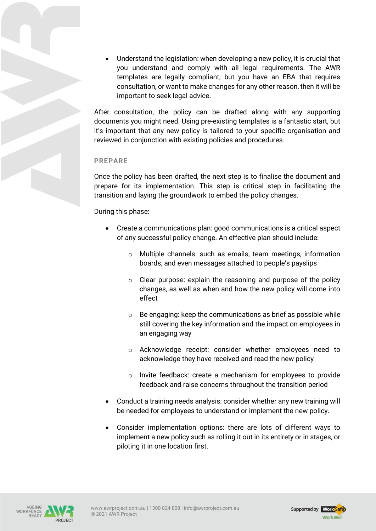• Understand the legislation: when developing a new policy, it is crucial that you understand and comply with all legal requirements. The AWR templates are legally compliant, but you have an EBA that requires consultation, or want to make changes for any other reason, then it will be important to seek legal advice.

After consultation, the policy can be drafted along with any supporting documents you might need. Using pre-existing templates is a fantastic start, but it's important that any new policy is tailored to your specific organisation and reviewed in conjunction with existing policies and procedures.

## **PREPARE**

Once the policy has been drafted, the next step is to finalise the document and prepare for its implementation. This step is critical step in facilitating the transition and laying the groundwork to embed the policy changes.

## During this phase:

- Create a communications plan: good communications is a critical aspect of any successful policy change. An effective plan should include:
	- o Multiple channels: such as emails, team meetings, information boards, and even messages attached to people's payslips
	- $\circ$  Clear purpose: explain the reasoning and purpose of the policy changes, as well as when and how the new policy will come into effect
	- $\circ$  Be engaging: keep the communications as brief as possible while still covering the key information and the impact on employees in an engaging way
	- o Acknowledge receipt: consider whether employees need to acknowledge they have received and read the new policy
	- o Invite feedback: create a mechanism for employees to provide feedback and raise concerns throughout the transition period
- Conduct a training needs analysis: consider whether any new training will be needed for employees to understand or implement the new policy.
- Consider implementation options: there are lots of different ways to implement a new policy such as rolling it out in its entirety or in stages, or piloting it in one location first.